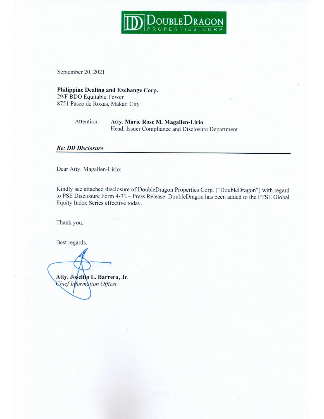

September 20, 2021

Philippine Dealing and Exchange Corp. 29/F BDO Equitable Tower 8751 Paseo de Roxas, Makati City

> Attention: Atty. Marie Rose M. Magallen-Lirio Head, Issuer Compliance and Disclosure Department

## **Re: DD Disclosure**

Dear Atty. Magallen-Lirio:

Kindly see attached disclosure of DoubleDragon Properties Corp. ("DoubleDragon") with regard to PSE Disclosure Form 4-31. - Press Release: DoubleDragon has been added to the FTSE Global Equity Index Series effective today.

Thank you.

Best regards,

Atty. Joselito L. Barrera, Jr. Chief Information Officer